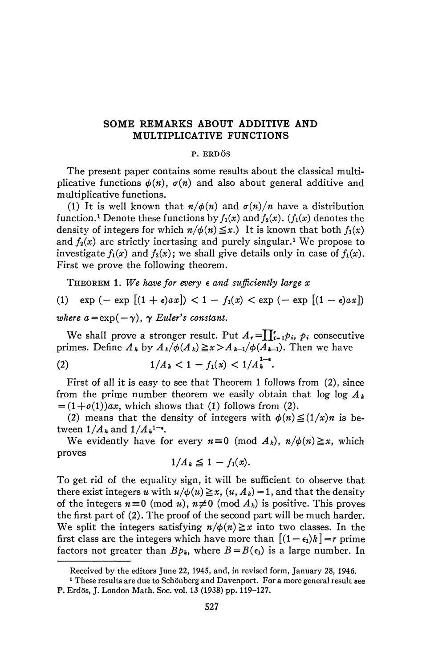## SOME REMARKS ABOUT ADDITIVE AND MULTIPLICATIVE FUNCTIONS

## **P. ERDÖS**

The present paper contains some results about the classical multiplicative functions  $\phi(n)$ ,  $\sigma(n)$  and also about general additive and multiplicative functions.

(1) It is well known that  $n/\phi(n)$  and  $\sigma(n)/n$  have a distribution function.<sup>1</sup> Denote these functions by  $f_1(x)$  and  $f_2(x)$ . ( $f_1(x)$  denotes the density of integers for which  $n/\phi(n) \leq x$ .) It is known that both  $f_1(x)$ and  $f_2(x)$  are strictly incrtasing and purely singular.<sup>1</sup> We propose to investigate  $f_1(x)$  and  $f_2(x)$ ; we shall give details only in case of  $f_1(x)$ . First we prove the following theorem.

THEOREM 1. *We have for every e and sufficiently large x* 

(1) 
$$
\exp(-\exp[(1+\epsilon)ax]) < 1 - f_1(x) < \exp(-\exp[(1-\epsilon)ax])
$$
 where  $a = \exp(-\gamma)$ ,  $\gamma$  Euler's constant.

We shall prove a stronger result. Put  $A_r = \prod_{i=1}^r p_i$ ,  $p_i$  consecutive primes. Define  $A_k$  by  $A_k/\phi(A_k) \geq x > A_{k-1}/\phi(A_{k-1})$ . Then we have

(2) 
$$
1/A_k < 1 - f_1(x) < 1/A_k^{1-\epsilon}.
$$

First of all it is easy to see that Theorem 1 follows from (2), since from the prime number theorem we easily obtain that  $\log \log A_k$  $=(1+o(1))ax$ , which shows that (1) follows from (2).

(2) means that the density of integers with  $\phi(n) \leq (1/x)n$  is between  $1/A_k$  and  $1/A_k^{1-\epsilon}$ .

We evidently have for every  $n \equiv 0 \pmod{A_k}$ ,  $n/\phi(n) \geq x$ , which proves

$$
1/A_k\leq 1-f_1(x).
$$

To get rid of the equality sign, it will be sufficient to observe that there exist integers u with  $u/\phi(u) \ge x$ ,  $(u, A_k) = 1$ , and that the density of the integers  $n \equiv 0 \pmod{u}$ ,  $n \not\equiv 0 \pmod{A_k}$  is positive. This proves the first part of (2). The proof of the second part will be much harder. We split the integers satisfying  $n/\phi(n) \geq x$  into two classes. In the first class are the integers which have more than  $[(1 - \epsilon_1)k] = r$  prime factors not greater than  $Bp_k$ , where  $B=B(\epsilon_1)$  is a large number. In

Received by the editors June 22, 1945, and, in revised form, January 28, 1946.

<sup>&</sup>lt;sup>1</sup> These results are due to Schönberg and Davenport. For a more general result see P. Erdös, J. London Math. Soc. vol. 13 (1938) pp. 119-127.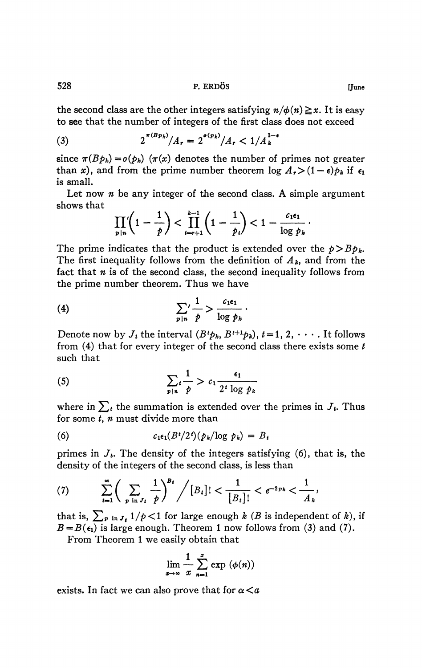**528 P. ERDÖS [June** 

the second class are the other integers satisfying  $n/\phi(n) \geq x$ . It is easy to see that the number of integers of the first class does not exceed

(3) 
$$
2^{\pi(Bp_k)}/A_r = 2^{o(p_k)}/A_r < 1/A_k^{1-\alpha}
$$

since  $\pi(Bp_k) = o(p_k)$  ( $\pi(x)$ ) denotes the number of primes not greater than *x*), and from the prime number theorem  $\log A_r > (1 - \epsilon)p_k$  if  $\epsilon_1$ is small.

Let now *n* be any integer of the second class. A simple argument shows that

$$
\prod_{p|n}\left(1-\frac{1}{p}\right)<\prod_{i=r+1}^{k-1}\left(1-\frac{1}{p_i}\right)<1-\frac{c_1\epsilon_1}{\log p_k}.
$$

The prime indicates that the product is extended over the  $p > Bp_k$ . The first inequality follows from the definition of  $A_k$ , and from the fact that *n* is of the second class, the second inequality follows from the prime number theorem. Thus we have

$$
(4) \qquad \qquad \sum_{p|n} \frac{1}{p} > \frac{c_{1}\epsilon_{1}}{\log p_{k}}.
$$

Denote now by  $J_i$ , the interval  $(B^t p_k, B^{t+1} p_k), t = 1, 2, \cdots$ . It follows from (4) that for every integer of the second class there exists some *t*  such that

$$
(5) \qquad \qquad \sum_{p|n} \frac{1}{p} > c_1 \frac{\epsilon_1}{2^i \log p_k}
$$

where in  $\sum_{t}$  the summation is extended over the primes in  $J_i$ . Thus for some *t*, *n* must divide more than

(6) 
$$
c_1 \epsilon_1 (B^t/2^t) (p_k/\log p_k) = B_t
$$

primes in *J<sup>t</sup> .* The density of the integers satisfying (6), that is, the density of the integers of the second class, is less than

(7) 
$$
\sum_{t=1}^{\infty} \left( \sum_{p \text{ in } J_t} \frac{1}{p} \right)^{B_t} / [B_t] < \frac{1}{[B_t]!} < e^{-2pk} < \frac{1}{A_k},
$$

that is,  $\sum_{p \in I} f_{i} 1/p < 1$  for large enough *k* (*B* is independent of *k*), if  $B = B(\epsilon_1)$  is large enough. Theorem 1 now follows from (3) and (7).

From Theorem 1 we easily obtain that

$$
\lim_{x\to\infty}\frac{1}{x}\sum_{n=1}^x\exp\left(\phi(n)\right)
$$

exists. In fact we can also prove that for  $\alpha < a$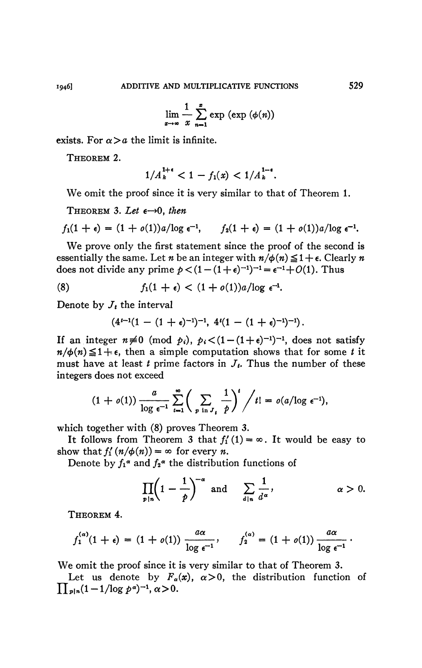$$
\lim_{x\to\infty}\frac{1}{x}\sum_{n=1}^x\exp\left(\exp\left(\phi(n)\right)\right)
$$

exists. For  $\alpha > a$  the limit is infinite.

THEOREM 2.

$$
1/A_k^{1+\epsilon} < 1 - f_1(x) < 1/A_k^{1-\epsilon}.
$$

We omit the proof since it is very similar to that of Theorem 1.

THEOREM 3. Let  $\epsilon \rightarrow 0$ , then

$$
f_1(1+\epsilon)=(1+o(1))a/\log\epsilon^{-1}, \qquad f_2(1+\epsilon)=(1+o(1))a/\log\epsilon^{-1}.
$$

We prove only the first statement since the proof of the second is essentially the same. Let *n* be an integer with  $n/\phi(n) \leq 1 + \epsilon$ . Clearly *n* does not divide any prime  $p < (1 - (1 + \epsilon)^{-1})^{-1} = \epsilon^{-1} + O(1)$ . Thus

(8) 
$$
f_1(1+\epsilon) < (1+o(1))a/\log \epsilon^{-1}.
$$

Denote by  $J_t$  the interval

$$
(4^{t-1}(1-(1+\varepsilon)^{-1})^{-1},\ 4^{t}(1-(1+\varepsilon)^{-1})^{-1}).
$$

If an integer  $n \neq 0$  (mod  $p_i$ ),  $p_i < (1 - (1 + \epsilon)^{-1})^{-1}$ , does not satisfy  $n/\phi(n) \leq 1 + \epsilon$ , then a simple computation shows that for some *t* it must have at least  $t$  prime factors in  $J_t$ . Thus the number of these integers does not exceed

$$
(1+o(1))\frac{a}{\log \epsilon^{-1}}\sum_{i=1}^{\infty}\bigg(\sum_{p \text{ in } J_i}\frac{1}{p}\bigg)^i\bigg/t!=o(a/\log \epsilon^{-1}),
$$

which together with (8) proves Theorem 3.

It follows from Theorem 3 that  $f'_1(1) = \infty$ . It would be easy to show that  $f'_1(n/\phi(n)) = \infty$  for every *n*.

Denote by  $f_1^{\alpha}$  and  $f_2^{\alpha}$  the distribution functions of

$$
\prod_{p|n}\left(1-\frac{1}{p}\right)^{-\alpha} \text{ and } \sum_{d|n}\frac{1}{d^{\alpha}}, \qquad \alpha > 0.
$$

THEOREM 4.

$$
f_1^{(\alpha)}(1+\epsilon)=(1+o(1))\,\frac{a\alpha}{\log\,\epsilon^{-1}},\qquad f_2^{(\alpha)}=(1+o(1))\,\frac{a\alpha}{\log\,\epsilon^{-1}}\,.
$$

We omit the proof since it is very similar to that of Theorem 3.

Let us denote by  $F_a(x)$ ,  $\alpha > 0$ , the distribution function of  $\prod_{p|n}(1-1/\log p^{\alpha})^{-1}, \alpha > 0.$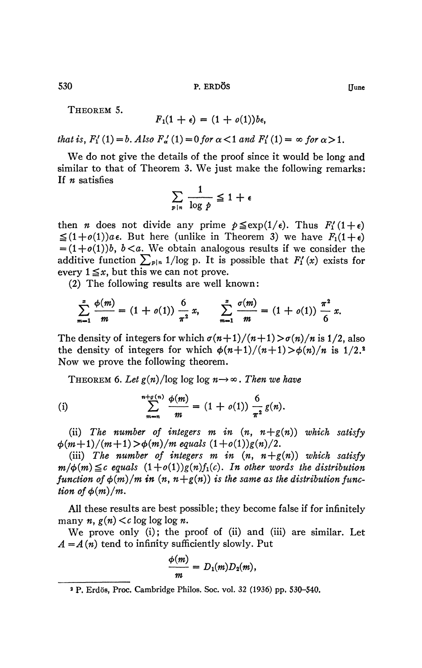**530 P. ERDÖS [June** 

THEOREM 5.

$$
F_1(1+\epsilon)=(1+o(1))b\epsilon,
$$

*that is, F*<sub>1</sub>' (1) = *b. Also F*<sub>a</sub>' (1) = 0 *for*  $\alpha$  < 1 *and F*<sub>1</sub>' (1) =  $\infty$  *for*  $\alpha$  > 1.

We do not give the details of the proof since it would be long and similar to that of Theorem 3. We just make the following remarks: If *n* satisfies

$$
\sum_{p|n} \frac{1}{\log p} \leq 1 + \epsilon
$$

then *n* does not divide any prime  $p \leq \exp(1/\epsilon)$ . Thus  $F'_{1}(1+\epsilon)$  $\leq (1+o(1))a\epsilon$ . But here (unlike in Theorem 3) we have  $F_1(1+\epsilon)$  $=(1+o(1))b$ ,  $b < a$ . We obtain analogous results if we consider the additive function  $\sum_{p|n} 1/\log p$ . It is possible that  $F'_1(x)$  exists for every  $1 \leq x$ , but this we can not prove.

(2) The following results are well known:

$$
\sum_{m=1}^{x} \frac{\phi(m)}{m} = (1 + o(1)) \frac{6}{\pi^2} x, \qquad \sum_{m=1}^{x} \frac{\sigma(m)}{m} = (1 + o(1)) \frac{\pi^2}{6} x.
$$

The density of integers for which  $\sigma(n+1)/(n+1) > \sigma(n)/n$  is 1/2, also the density of integers for which  $\phi(n+1)/(n+1) > \phi(n)/n$  is 1/2.<sup>2</sup> Now we prove the following theorem.

THEOREM 6. Let  $g(n)/\log \log \log n \rightarrow \infty$ . Then we have

(i) 
$$
\sum_{m=n}^{n+\rho(n)} \frac{\phi(m)}{m} = (1+o(1)) \frac{6}{\pi^2} g(n).
$$

(ii) The number of integers m in  $(n, n+g(n))$  which satisfy  $\phi(m+1)/(m+1) > \phi(m)/m$  equals  $(1+o(1))g(n)/2$ .

(iii) The number of integers m in  $(n, n+g(n))$  which satisfy  $m/\phi(m) \leq c$  equals  $(1+o(1))g(n)f_1(c)$ . In other words the distribution *function of*  $\phi(m)/m$  *in*  $(n, n+g(n))$  *is the same as the distribution function of*  $\phi(m)/m$ .

All these results are best possible; they become false if for infinitely many *n} g(n) <c* log log log *n.* 

We prove only (i); the proof of (ii) and (iii) are similar. Let  $A = A(n)$  tend to infinity sufficiently slowly. Put

$$
\frac{\phi(m)}{m}=D_1(m)D_2(m),
$$

**<sup>2</sup> P. Erdös, Proc. Cambridge Philos. Soc. vol. 32 (1936) pp, 530-540.**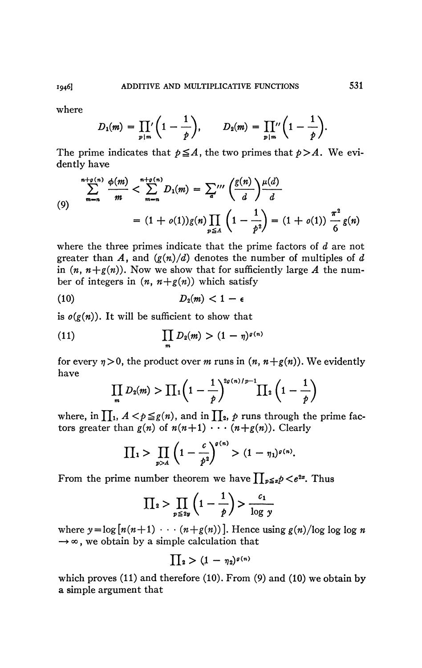where

$$
D_1(m) = \prod_{p|m} \left(1 - \frac{1}{p}\right), \qquad D_2(m) = \prod_{p|m} \left(1 - \frac{1}{p}\right).
$$

The prime indicates that  $p \leq A$ , the two primes that  $p>A$ . We evidently have

(9)  

$$
\sum_{m=n}^{n+\rho(n)} \frac{\phi(m)}{m} < \sum_{m=n}^{n+\rho(n)} D_1(m) = \sum_{a}^{\prime\prime\prime} \left(\frac{g(n)}{d}\right) \frac{\mu(d)}{d}
$$

$$
= (1 + o(1))g(n) \prod_{p \leq A} \left(1 - \frac{1}{p^2}\right) = (1 + o(1)) \frac{\pi^2}{6} g(n)
$$

where the three primes indicate that the prime factors of *d* are not greater than A, and  $(g(n)/d)$  denotes the number of multiples of d in  $(n, n+g(n))$ . Now we show that for sufficiently large A the number of integers in  $(n, n+g(n))$  which satisfy

$$
(10) \t\t\t D_2(m) < 1 - \epsilon
$$

is  $o(g(n))$ . It will be sufficient to show that

(11) 
$$
\prod_{m} D_2(m) > (1 - \eta)^{g(n)}
$$

for every  $\eta > 0$ , the product over *m* runs in  $(n, n+g(n))$ . We evidently have

$$
\prod_{m} D_2(m) > \prod_1 \left(1-\frac{1}{p}\right)^{2g(n)/p-1} \prod_2 \left(1-\frac{1}{p}\right)
$$

 $\frac{1}{2}$  **b**  $\frac{1}{2}$  **p**  $\frac{1}{2}$  **p**  $\frac{1}{2}$  **p**  $\frac{1}{2}$  **p**  $\frac{1}{2}$  **p**  $\frac{1}{2}$  **p**  $\frac{1}{2}$  **p**  $\frac{1}{2}$  **p**  $\frac{1}{2}$  **p**  $\frac{1}{2}$  **p**  $\frac{1}{2}$  **p**  $\frac{1}{2}$  **p**  $\frac{1}{2}$  **p**  $\frac{1}{2}$  **p**  $\frac{1}{2}$  tors greater than  $g(n)$  of  $n(n+1)$   $\cdots$   $(n+g(n))$ . Clearly

$$
\prod_{1} > \prod_{p > 4} \left(1 - \frac{c}{p^2}\right)^{\sigma(n)} > (1 - \eta_1)^{\sigma(n)}.
$$

From the prime number theorem we have  $\prod_{p\leq x}p\!<\!e^{2x}$ . Thus

$$
\prod_{2} > \prod_{p \leq 2y} \left( 1 - \frac{1}{p} \right) > \frac{c_1}{\log y}
$$

where  $y = \log [n(n+1) \cdots (n+g(n))]$ . Hence using  $g(n)/\log \log n$  $\rightarrow \infty$ , we obtain by a simple calculation that

$$
\prod_2>(1-\eta_2)^{g(n)}
$$

which proves (11) and therefore (10). From (9) and (10) we obtain by a simple argument that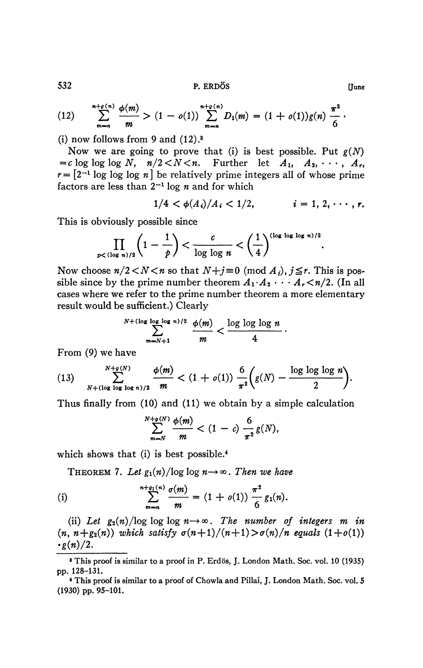**532 P. ERDÖS (June** 

(12) 
$$
\sum_{m=n}^{n+\sigma(n)} \frac{\phi(m)}{m} > (1-o(1)) \sum_{m=n}^{n+\sigma(n)} D_1(m) = (1+o(1))g(n) \frac{\pi^2}{6}.
$$

(i) now follows from 9 and  $(12).<sup>3</sup>$ 

Now we are going to prove that (i) is best possible. Put *g(N)*   $=c$  log log log N,  $n/2 < N < n$ . Further let  $A_1, A_2, \cdots, A_r$ ,  $r = \left[2^{-1} \log \log n\right]$  be relatively prime integers all of whose prime factors are less than  $2^{-1}$  log *n* and for which

$$
1/4 < \phi(A_i)/A_i < 1/2, \qquad i = 1, 2, \cdots, r.
$$

This is obviously possible since

$$
\prod_{p<(\log n)/2}\left(1-\frac{1}{p}\right)<\frac{c}{\log\log n}<\left(\frac{1}{4}\right)^{(\log\log\log n)/2}.
$$

Now choose  $n/2 < N < n$  so that  $N+j \equiv 0 \pmod{A_j}$ ,  $j \leq r$ . This is possible since by the prime number theorem  $A_1 \cdot A_2 \cdot \cdot \cdot A_r \leq n/2$ . (In all cases where we refer to the prime number theorem a more elementary result would be sufficient.) Clearly

$$
\sum_{m=N+1}^{N+(\log\log\log n)/2} \frac{\phi(m)}{m} < \frac{\log\log\log n}{4}
$$

From (9) we have

(13) 
$$
\sum_{N+\left(\log\log n\right)/2}^{N+\rho(N)} \frac{\phi(m)}{m} < (1+o(1)) \frac{6}{\pi^2} \bigg(g(N) - \frac{\log\log\log n}{2}\bigg).
$$

Thus finally from (10) and (11) we obtain by a simple calculation

$$
\sum_{m=N}^{N+g(N)} \frac{\phi(m)}{m} < (1-c) \frac{6}{\pi^2} g(N),
$$

which shows that (i) is best possible.<sup>4</sup>

THEOREM 7. Let  $g_1(n)/\log \log n \rightarrow \infty$ . Then we have

(i) 
$$
\sum_{m=n}^{n+\rho_1(n)} \frac{\sigma(m)}{m} = (1+o(1)) \frac{\pi^2}{6} g_1(n).
$$

(ii) Let  $g_2(n)/\log \log n \rightarrow \infty$ . The number of integers m in  $(n, n+g_2(n))$  which satisfy  $\sigma(n+1)/(n+1) > \sigma(n)/n$  equals  $(1+o(1))$  $\cdot$ g(n)/2.

**<sup>8</sup> This proof is similar to a proof in P. Erdös, J. London Math. Soc. vol. 10 (1935) pp. 128-131.** 

**<sup>4</sup> This proof is similar to a proof of Chowla and Pillai, J. London Math. Soc. vol. 5 (1930) pp. 95-101.**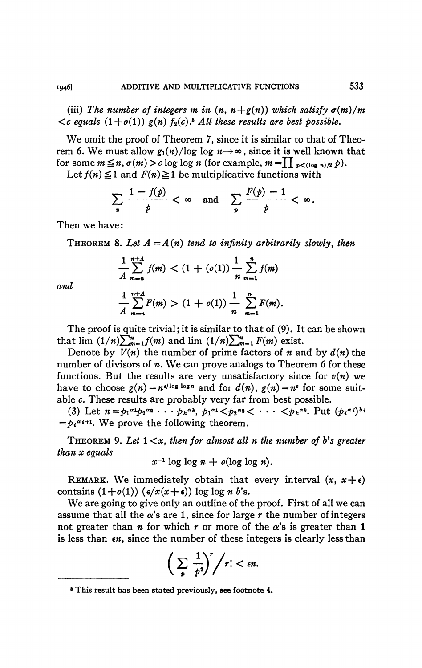(iii) The number of integers  $m$  in  $(n, n+g(n))$  which satisfy  $\sigma(m)/m$  $\langle c \rangle$  equals  $(1+o(1)) \rangle g(n) f_2(c)$ .<sup>5</sup> All these results are best possible.

We omit the proof of Theorem 7, since it is similar to that of Theorem 6. We must allow  $g_1(n)/\log \log n \rightarrow \infty$ , since it is well known that for some  $m \leq n$ ,  $\sigma(m) > c \log \log n$  (for example,  $m = \prod_{p < (\log n)/2} p$ ).

Let  $f(n) \leq 1$  and  $F(n) \geq 1$  be multiplicative functions with

$$
\sum_{p} \frac{1 - f(p)}{p} < \infty \quad \text{and} \quad \sum_{p} \frac{F(p) - 1}{p} < \infty.
$$

Then we have :

**THEOREM** 8. Let  $A = A(n)$  tend to infinity arbitrarily slowly, then

$$
\frac{1}{A}\sum_{m=n}^{n+A}f(m) < (1 + (o(1))\frac{1}{n}\sum_{m=1}^{n}f(m)
$$

*and* 

$$
\frac{1}{A}\sum_{m=n}^{n+A}F(m) > (1+o(1))\frac{1}{n}\sum_{m=1}^{n}F(m).
$$

The proof is quite trivial; it is similar to that of (9). It can be shown that  $\lim (1/n)\sum_{m=1}^n f(m)$  and  $\lim (1/n)\sum_{m=1}^n F(m)$  exist.

Denote by  $V(n)$  the number of prime factors of n and by  $d(n)$  the number of divisors of *n*. We can prove analogs to Theorem 6 for these functions. But the results are very unsatisfactory since for  $v(n)$  we have to choose  $g(n) = n^{e/\log \log n}$  and for  $d(n)$ ,  $g(n) = n^e$  for some suitable c. These results are probably very far from best possible.

(3) Let  $n = p_1 \alpha_1 p_2 \alpha_2 \cdots p_k \alpha_k$ ,  $p_1 \alpha_1 < p_2 \alpha_2 < \cdots < p_k \alpha_k$ . Put  $(p_i \alpha_i) b_i$  $\phi_i^{\alpha_{i+1}}$ . We prove the following theorer *\*<* **• • •** *<pk<sup>a</sup>K* **Put** *(pi\*\*)\*\* =\*pi«i+l*

*.* We prove the following theorem. **THEOREM 9.** *Let* **1** *<x<sup>t</sup> then for almost all n the number of b's greater than x equals* 

 $x^2$  1 log 1 log *n* + *b*(1 log 1 log *n*).

REMARK. We immediately obtain that every interval  $(x, x+\epsilon)$ contains  $(1+o(1))$   $(\epsilon/x(x+\epsilon))$  log log *n b*'s.

We are going to give only an outline of the proof. First of all we can assume that all the  $\alpha$ 's are 1, since for large  $r$  the number of integers not greater than *n* for which *r* or more of the  $\alpha$ 's is greater than 1 is less than  $\epsilon n$ , since the number of these integers is clearly less than

$$
\bigg(\sum_{p}\frac{1}{p^2}\bigg)^r\bigg/r!<\epsilon n.
$$

**<sup>6</sup> This result has been stated previously, see footnote 4.**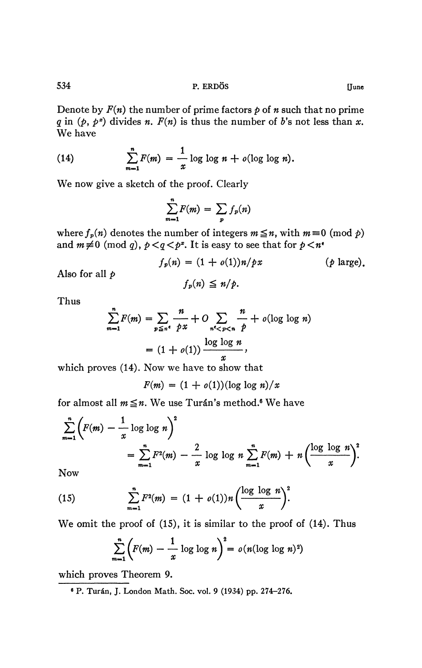**534 P. ERDÖS [June** 

Denote by  $F(n)$  the number of prime factors  $p$  of  $n$  such that no prime *q* in  $(p, p^z)$  divides *n. F(n)* is thus the number of *b*'s not less than *x*. We have

(14) 
$$
\sum_{m=1}^{n} F(m) = \frac{1}{x} \log \log n + o(\log \log n).
$$

We now give a sketch of the proof. Clearly

$$
\sum_{m=1}^n F(m) = \sum_p f_p(n)
$$

where  $f_p(n)$  denotes the number of integers  $m \leq n$ , with  $m \equiv 0 \pmod{p}$ and  $m \neq 0 \pmod{q}$ ,  $p < q < p^x$ . It is easy to see that for  $p < n^x$ 

$$
f_p(n) = (1 + o(1))n/px
$$
 (*p* large),  

$$
f_p(n) \leq n/p.
$$

Thus

Also for all *p* 

$$
\sum_{m=1}^{n} F(m) = \sum_{p \leq n^e} \frac{n}{px} + O \sum_{n^e < p < n} \frac{n}{p} + o(\log \log n)
$$
\n
$$
= (1 + o(1)) \frac{\log \log n}{x},
$$

which proves (14). Now we have to show that

$$
F(m) = (1 + o(1))(\log \log n)/x
$$

for almost all  $m \leq n$ . We use Tur<mark>án's</mark> method.<sup>6</sup> We have

$$
\sum_{m=1}^{n} \left( F(m) - \frac{1}{x} \log \log n \right)^2 = \sum_{m=1}^{n} F^2(m) - \frac{2}{x} \log \log n \sum_{m=1}^{n} F(m) + n \left( \frac{\log \log n}{x} \right)^2.
$$

Now

(15) 
$$
\sum_{m=1}^{n} F^{2}(m) = (1 + o(1))n \left(\frac{\log \log n}{x}\right)^{2}.
$$

We omit the proof of (IS), it is similar to the proof of (14). Thus

$$
\sum_{m=1}^{n} \left( F(m) - \frac{1}{x} \log \log n \right)^2 = o(n(\log \log n)^2)
$$

which proves Theorem 9.

**6 P. Turân, J. London Math. Soc. vol. 9 (1934) pp. 274-276.**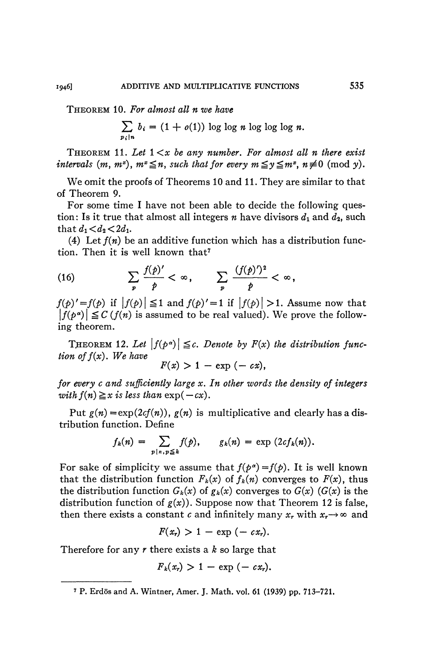THEOREM 10. *For almost all n we have* 

$$
\sum_{p_i|n} b_i = (1 + o(1)) \log \log n \log \log \log n.
$$

THEOREM 11. Let  $1 \leq x$  be any number. For almost all n there exist *intervals*  $(m, m^x)$ ,  $m^x \leq n$ , such that for every  $m \leq y \leq m^x$ ,  $n \neq 0 \pmod{y}$ .

We omit the proofs of Theorems 10 and 11. They are similar to that of Theorem 9.

For some time I have not been able to decide the following question: Is it true that almost all integers *n* have divisors  $d_1$  and  $d_2$ , such that  $d_1 < d_2 < 2d_1$ .

(4) Let  $f(n)$  be an additive function which has a distribution function. Then it is well known that<sup>7</sup>

(16) 
$$
\sum_{p} \frac{f(p)'}{p} < \infty, \qquad \sum_{p} \frac{(f(p)')^2}{p} < \infty,
$$

 $f(p)' = f(p)$  if  $|f(p)| \leq 1$  and  $f(p)' = 1$  if  $|f(p)| > 1$ . Assume now that  $f(P) = f(P)$  if  $f(p) = f$  and  $f(P) = 1$  if  $|f(P)| > 1$ . Assume now that | *f(p<sup>a</sup>*  $|v| \geq$  C (*J*(*w*) is assumed to be real valued). We prove the following theorem.

THEOREM 12. Let  $|f(p^{\alpha})| \leq c$ . Denote by  $F(x)$  the distribution func*tion of f{x). We have* 

$$
F(x) > 1 - \exp(-cx),
$$

*for every c and sufficiently large x. In other words the density of integers with*  $f(n) \ge x$  *is less than*  $\exp(-cx)$ .

Put  $g(n) = \exp(2cf(n))$ ,  $g(n)$  is multiplicative and clearly has a distribution function. Define

$$
f_k(n) = \sum_{p \mid n, p \leq k} f(p), \qquad g_k(n) = \exp(2cf_k(n)).
$$

For sake of simplicity we assume that  $f(p^a) = f(p)$ . It is well known that the distribution function  $F_k(x)$  of  $f_k(n)$  converges to  $F(x)$ , thus the distribution function  $G_k(x)$  of  $g_k(x)$  converges to  $G(x)$  ( $G(x)$ ) is the distribution function of  $g(x)$ ). Suppose now that Theorem 12 is false, then there exists a constant *c* and infinitely many  $x_r$  with  $x_r \rightarrow \infty$  and

$$
F(x_r) > 1 - \exp(-cx_r).
$$

Therefore for any *r* there exists a *k* so large that

$$
F_k(x_r) > 1 - \exp(-cx_r).
$$

**<sup>\*</sup> P. Erdös and A. Wintner, Amer. J. Math. vol. 61 (1939) pp. 713-721.**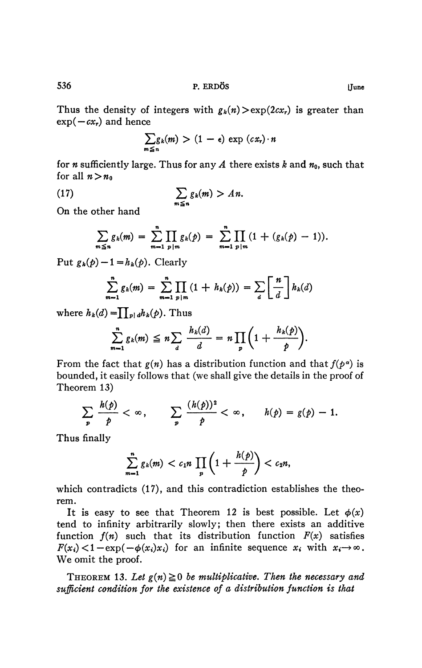Thus the density of integers with  $g_h(n) > \exp(2cx_r)$  is greater than  $\exp(-cx_r)$  and hence

$$
\sum_{m\leq n}g_k(m)>(1-\epsilon)\exp(cx_r)\cdot n
$$

for *n* sufficiently large. Thus for any *A* there exists *k* and  $n_0$ , such that for all  $n > n_0$ 

(17) 
$$
\sum_{m \leq n} g_k(m) > An.
$$

On the other hand

$$
\sum_{m\leq n}g_k(m)=\sum_{m=1}^n\prod_{p|m}g_k(p)=\sum_{m=1}^n\prod_{p|m}(1+(g_k(p)-1)).
$$

Put  $g_k(p)-1 = h_k(p)$ . Clearly

$$
\sum_{m=1}^{n} g_k(m) = \sum_{m=1}^{n} \prod_{p|m} (1 + h_k(p)) = \sum_{d} \left[ \frac{n}{d} \right] h_k(d)
$$

where  $h_k(d) = \prod_{p|d} h_k(p)$ . Thus

$$
\sum_{m=1}^n g_k(m) \leq n \sum_{d} \frac{h_k(d)}{d} = n \prod_{p} \left( 1 + \frac{h_k(p)}{p} \right).
$$

From the fact that  $g(n)$  has a distribution function and that  $f(p^{\alpha})$  is bounded, it easily follows that (we shall give the details in the proof of Theorem 13)

$$
\sum_{p} \frac{h(p)}{p} < \infty, \qquad \sum_{p} \frac{(h(p))^2}{p} < \infty, \qquad h(p) = g(p) - 1.
$$

Thus finally

$$
\sum_{m=1}^n g_k(m) < c_1 n \prod_p \left(1 + \frac{h(p)}{p}\right) < c_2 n,
$$

which contradicts (17), and this contradiction establishes the theorem.

It is easy to see that Theorem 12 is best possible. Let  $\phi(x)$ tend to infinity arbitrarily slowly; then there exists an additive function  $f(n)$  such that its distribution function  $F(x)$  satisfies  $F(x_i) < 1 - \exp(-\phi(x_i)x_i)$  for an infinite sequence  $x_i$  with  $x_i \rightarrow \infty$ . We omit the proof.

THEOREM 13. Let  $g(n) \ge 0$  be multiplicative. Then the necessary and *sufficient condition for the existence of a distribution function is that*